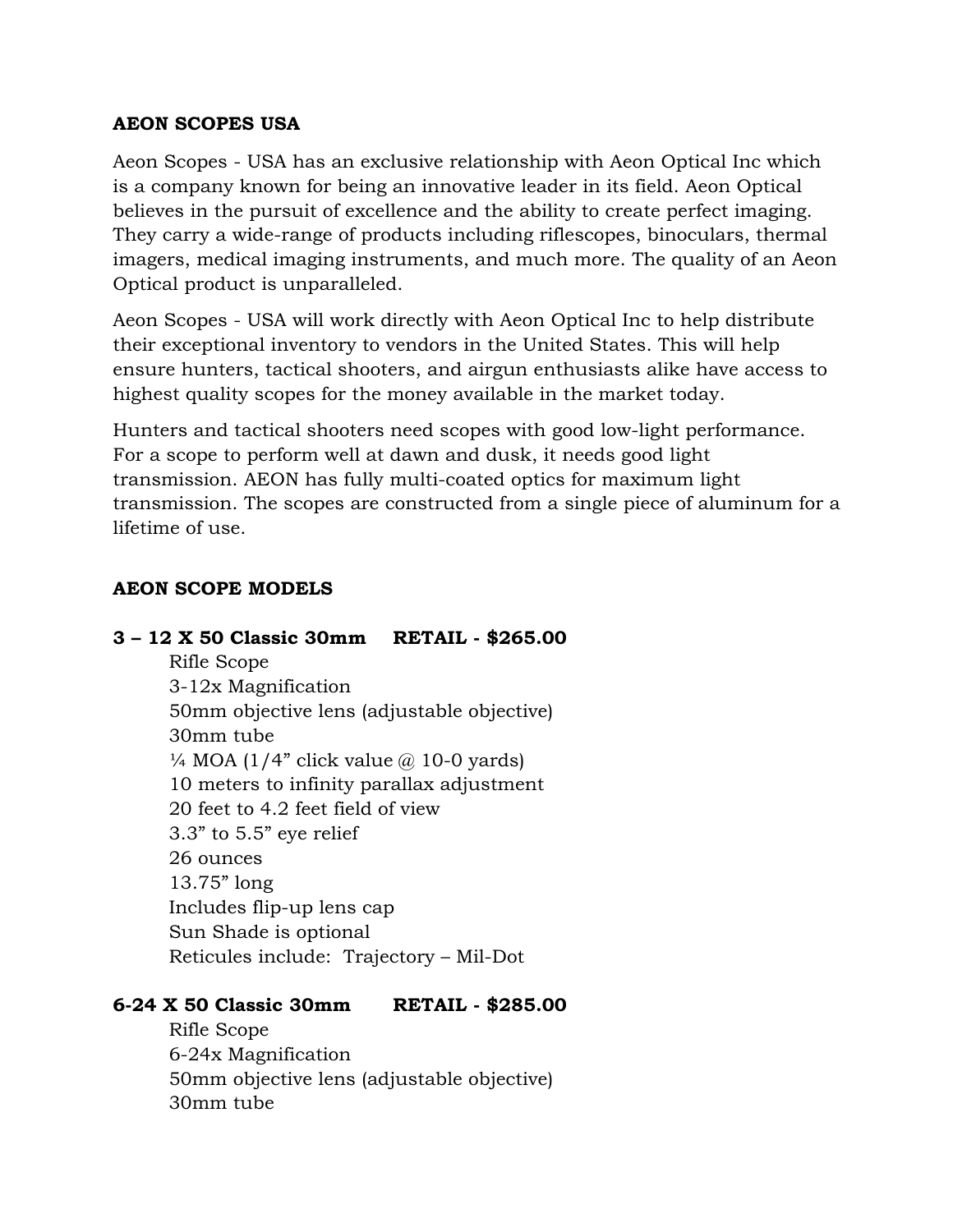# **AEON SCOPES USA**

Aeon Scopes - USA has an exclusive relationship with Aeon Optical Inc which is a company known for being an innovative leader in its field. Aeon Optical believes in the pursuit of excellence and the ability to create perfect imaging. They carry a wide-range of products including riflescopes, binoculars, thermal imagers, medical imaging instruments, and much more. The quality of an Aeon Optical product is unparalleled.

Aeon Scopes - USA will work directly with Aeon Optical Inc to help distribute their exceptional inventory to vendors in the United States. This will help ensure hunters, tactical shooters, and airgun enthusiasts alike have access to highest quality scopes for the money available in the market today.

Hunters and tactical shooters need scopes with good low-light performance. For a scope to perform well at dawn and dusk, it needs good light transmission. AEON has fully multi-coated optics for maximum light transmission. The scopes are constructed from a single piece of aluminum for a lifetime of use.

# **AEON SCOPE MODELS**

# **3 – 12 X 50 Classic 30mm RETAIL - \$265.00**

Rifle Scope 3-12x Magnification 50mm objective lens (adjustable objective) 30mm tube  $\frac{1}{4}$  MOA (1/4" click value  $\omega$  10-0 yards) 10 meters to infinity parallax adjustment 20 feet to 4.2 feet field of view 3.3" to 5.5" eye relief 26 ounces 13.75" long Includes flip-up lens cap Sun Shade is optional Reticules include: Trajectory – Mil-Dot

## **6-24 X 50 Classic 30mm RETAIL - \$285.00**

Rifle Scope 6-24x Magnification 50mm objective lens (adjustable objective) 30mm tube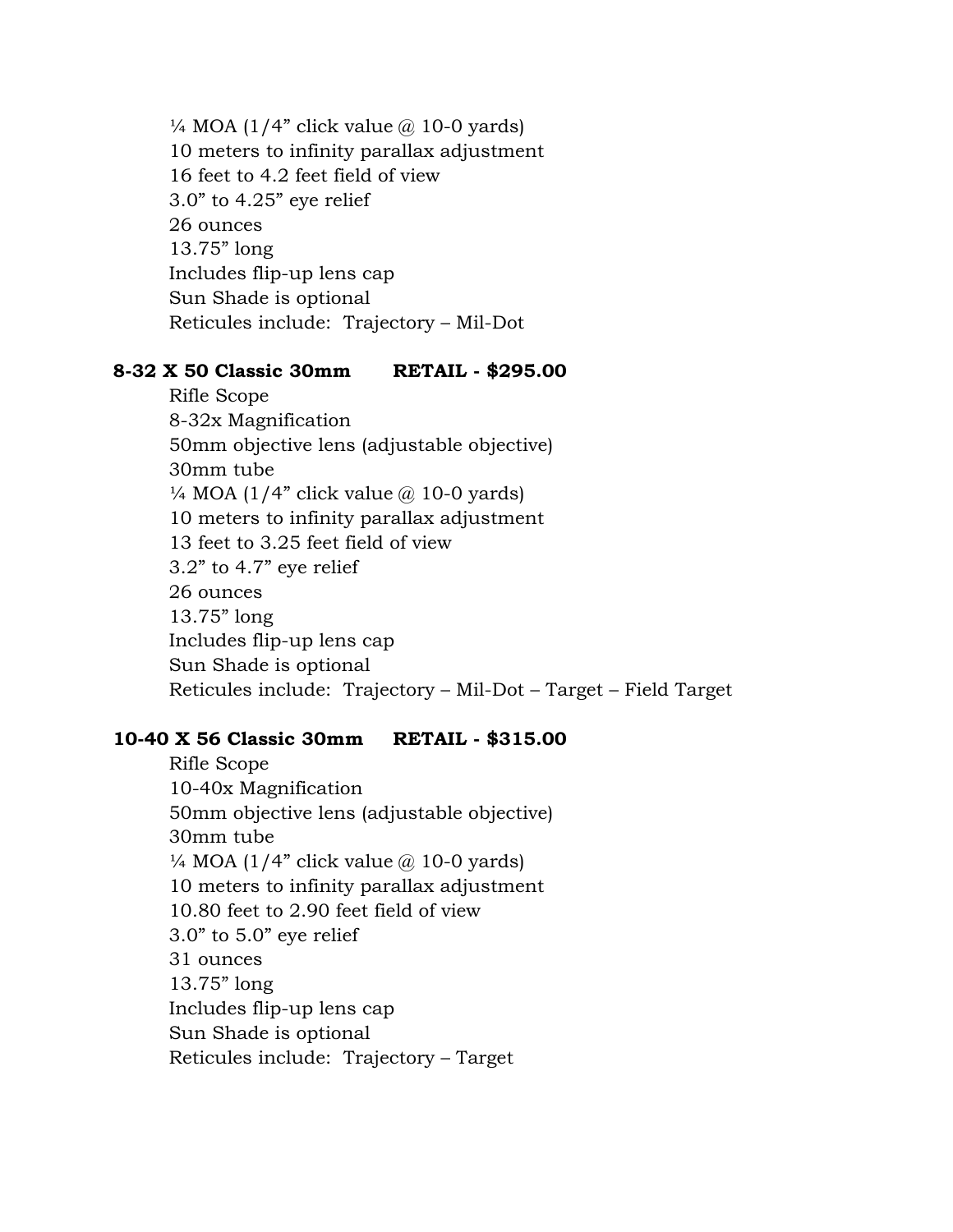$\frac{1}{4}$  MOA (1/4" click value @ 10-0 yards) 10 meters to infinity parallax adjustment 16 feet to 4.2 feet field of view 3.0" to 4.25" eye relief 26 ounces 13.75" long Includes flip-up lens cap Sun Shade is optional Reticules include: Trajectory – Mil-Dot

# **8-32 X 50 Classic 30mm RETAIL - \$295.00**

Rifle Scope 8-32x Magnification 50mm objective lens (adjustable objective) 30mm tube  $\frac{1}{4}$  MOA (1/4" click value @ 10-0 yards) 10 meters to infinity parallax adjustment 13 feet to 3.25 feet field of view 3.2" to 4.7" eye relief 26 ounces 13.75" long Includes flip-up lens cap Sun Shade is optional Reticules include: Trajectory – Mil-Dot – Target – Field Target

## **10-40 X 56 Classic 30mm RETAIL - \$315.00**

Rifle Scope 10-40x Magnification 50mm objective lens (adjustable objective) 30mm tube  $\frac{1}{4}$  MOA (1/4" click value  $\omega$  10-0 yards) 10 meters to infinity parallax adjustment 10.80 feet to 2.90 feet field of view 3.0" to 5.0" eye relief 31 ounces 13.75" long Includes flip-up lens cap Sun Shade is optional Reticules include: Trajectory – Target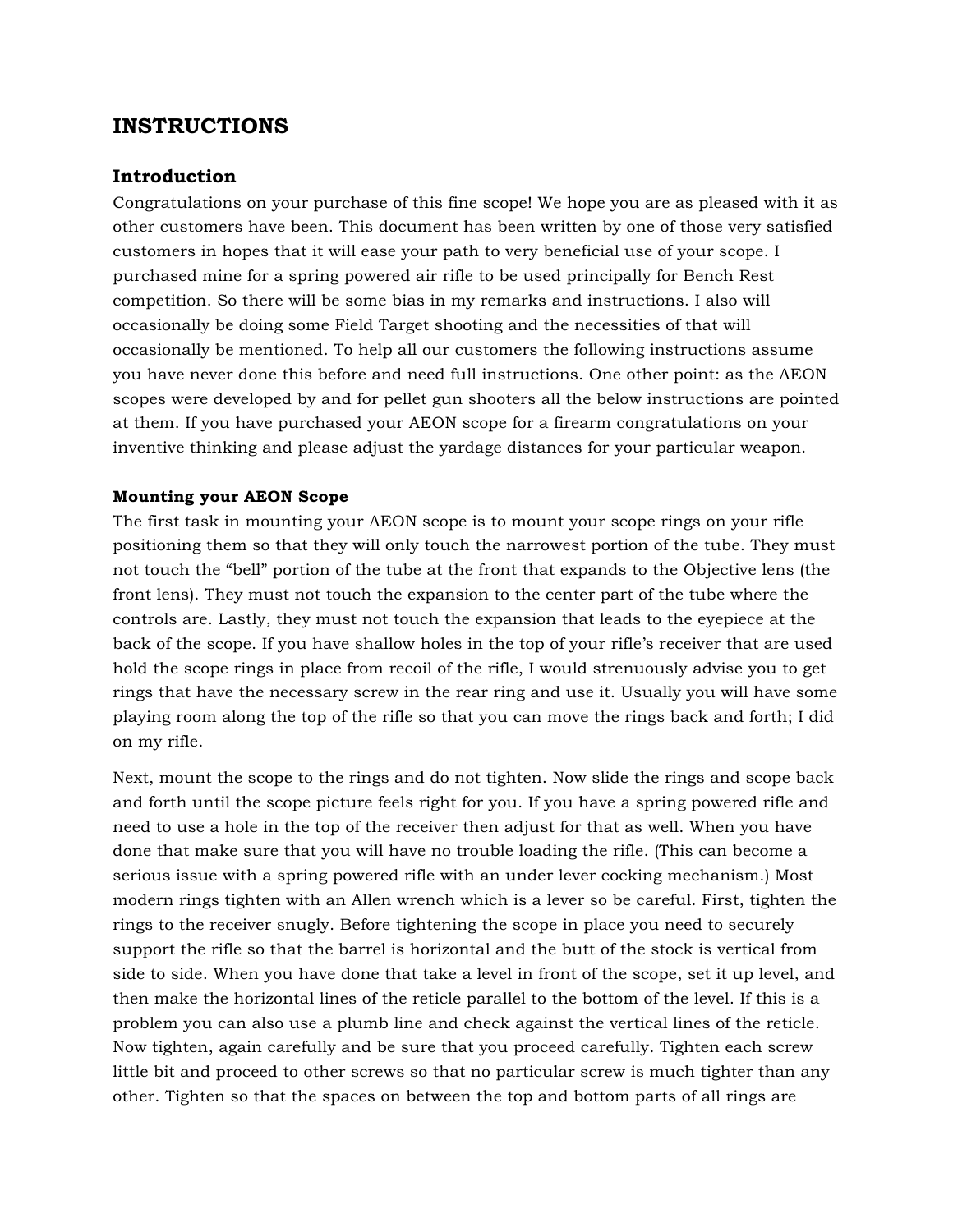# **INSTRUCTIONS**

### **Introduction**

Congratulations on your purchase of this fine scope! We hope you are as pleased with it as other customers have been. This document has been written by one of those very satisfied customers in hopes that it will ease your path to very beneficial use of your scope. I purchased mine for a spring powered air rifle to be used principally for Bench Rest competition. So there will be some bias in my remarks and instructions. I also will occasionally be doing some Field Target shooting and the necessities of that will occasionally be mentioned. To help all our customers the following instructions assume you have never done this before and need full instructions. One other point: as the AEON scopes were developed by and for pellet gun shooters all the below instructions are pointed at them. If you have purchased your AEON scope for a firearm congratulations on your inventive thinking and please adjust the yardage distances for your particular weapon.

### **Mounting your AEON Scope**

The first task in mounting your AEON scope is to mount your scope rings on your rifle positioning them so that they will only touch the narrowest portion of the tube. They must not touch the "bell" portion of the tube at the front that expands to the Objective lens (the front lens). They must not touch the expansion to the center part of the tube where the controls are. Lastly, they must not touch the expansion that leads to the eyepiece at the back of the scope. If you have shallow holes in the top of your rifle's receiver that are used hold the scope rings in place from recoil of the rifle, I would strenuously advise you to get rings that have the necessary screw in the rear ring and use it. Usually you will have some playing room along the top of the rifle so that you can move the rings back and forth; I did on my rifle.

Next, mount the scope to the rings and do not tighten. Now slide the rings and scope back and forth until the scope picture feels right for you. If you have a spring powered rifle and need to use a hole in the top of the receiver then adjust for that as well. When you have done that make sure that you will have no trouble loading the rifle. (This can become a serious issue with a spring powered rifle with an under lever cocking mechanism.) Most modern rings tighten with an Allen wrench which is a lever so be careful. First, tighten the rings to the receiver snugly. Before tightening the scope in place you need to securely support the rifle so that the barrel is horizontal and the butt of the stock is vertical from side to side. When you have done that take a level in front of the scope, set it up level, and then make the horizontal lines of the reticle parallel to the bottom of the level. If this is a problem you can also use a plumb line and check against the vertical lines of the reticle. Now tighten, again carefully and be sure that you proceed carefully. Tighten each screw little bit and proceed to other screws so that no particular screw is much tighter than any other. Tighten so that the spaces on between the top and bottom parts of all rings are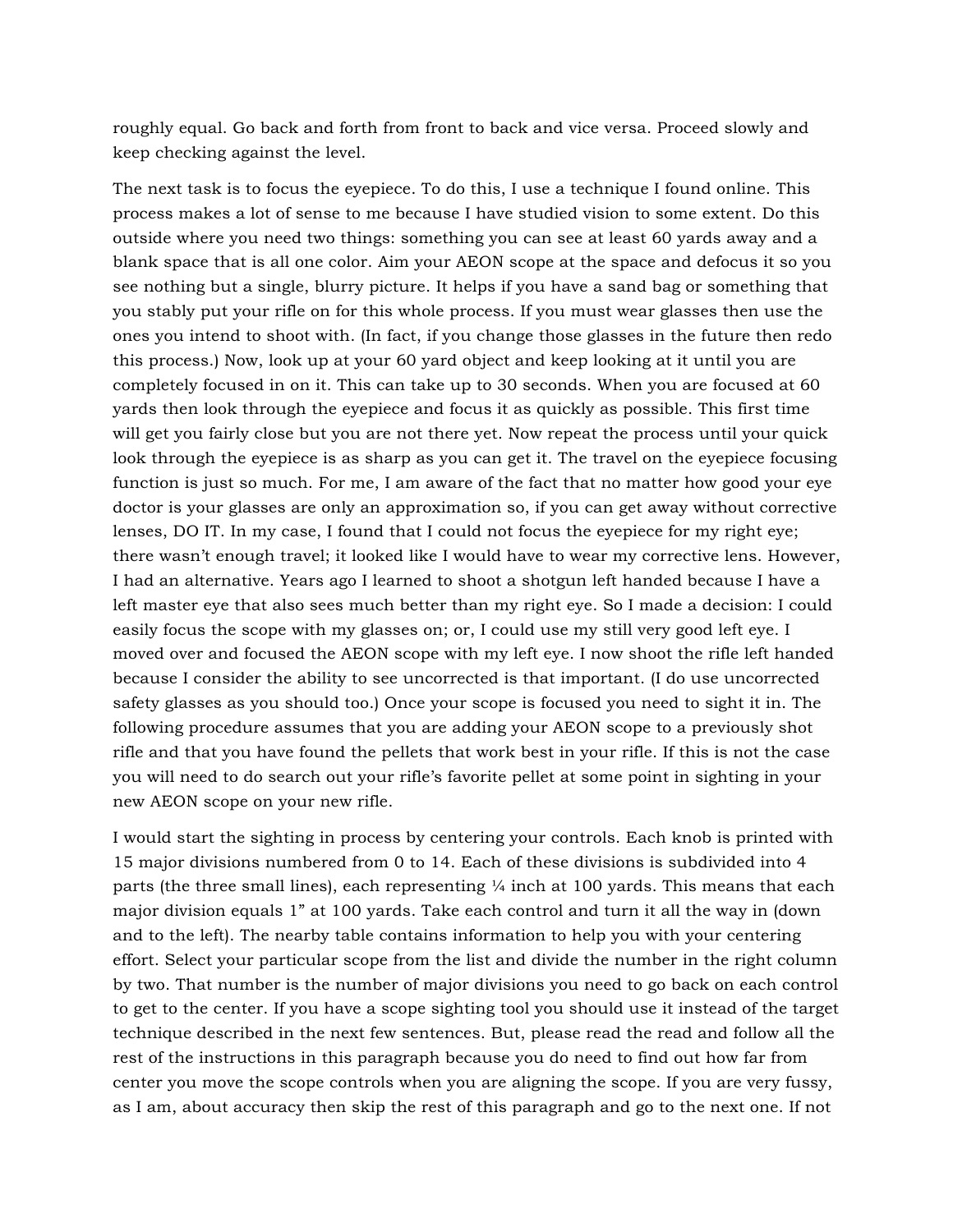roughly equal. Go back and forth from front to back and vice versa. Proceed slowly and keep checking against the level.

The next task is to focus the eyepiece. To do this, I use a technique I found online. This process makes a lot of sense to me because I have studied vision to some extent. Do this outside where you need two things: something you can see at least 60 yards away and a blank space that is all one color. Aim your AEON scope at the space and defocus it so you see nothing but a single, blurry picture. It helps if you have a sand bag or something that you stably put your rifle on for this whole process. If you must wear glasses then use the ones you intend to shoot with. (In fact, if you change those glasses in the future then redo this process.) Now, look up at your 60 yard object and keep looking at it until you are completely focused in on it. This can take up to 30 seconds. When you are focused at 60 yards then look through the eyepiece and focus it as quickly as possible. This first time will get you fairly close but you are not there yet. Now repeat the process until your quick look through the eyepiece is as sharp as you can get it. The travel on the eyepiece focusing function is just so much. For me, I am aware of the fact that no matter how good your eye doctor is your glasses are only an approximation so, if you can get away without corrective lenses, DO IT. In my case, I found that I could not focus the eyepiece for my right eye; there wasn't enough travel; it looked like I would have to wear my corrective lens. However, I had an alternative. Years ago I learned to shoot a shotgun left handed because I have a left master eye that also sees much better than my right eye. So I made a decision: I could easily focus the scope with my glasses on; or, I could use my still very good left eye. I moved over and focused the AEON scope with my left eye. I now shoot the rifle left handed because I consider the ability to see uncorrected is that important. (I do use uncorrected safety glasses as you should too.) Once your scope is focused you need to sight it in. The following procedure assumes that you are adding your AEON scope to a previously shot rifle and that you have found the pellets that work best in your rifle. If this is not the case you will need to do search out your rifle's favorite pellet at some point in sighting in your new AEON scope on your new rifle.

I would start the sighting in process by centering your controls. Each knob is printed with 15 major divisions numbered from 0 to 14. Each of these divisions is subdivided into 4 parts (the three small lines), each representing  $\frac{1}{4}$  inch at 100 yards. This means that each major division equals 1" at 100 yards. Take each control and turn it all the way in (down and to the left). The nearby table contains information to help you with your centering effort. Select your particular scope from the list and divide the number in the right column by two. That number is the number of major divisions you need to go back on each control to get to the center. If you have a scope sighting tool you should use it instead of the target technique described in the next few sentences. But, please read the read and follow all the rest of the instructions in this paragraph because you do need to find out how far from center you move the scope controls when you are aligning the scope. If you are very fussy, as I am, about accuracy then skip the rest of this paragraph and go to the next one. If not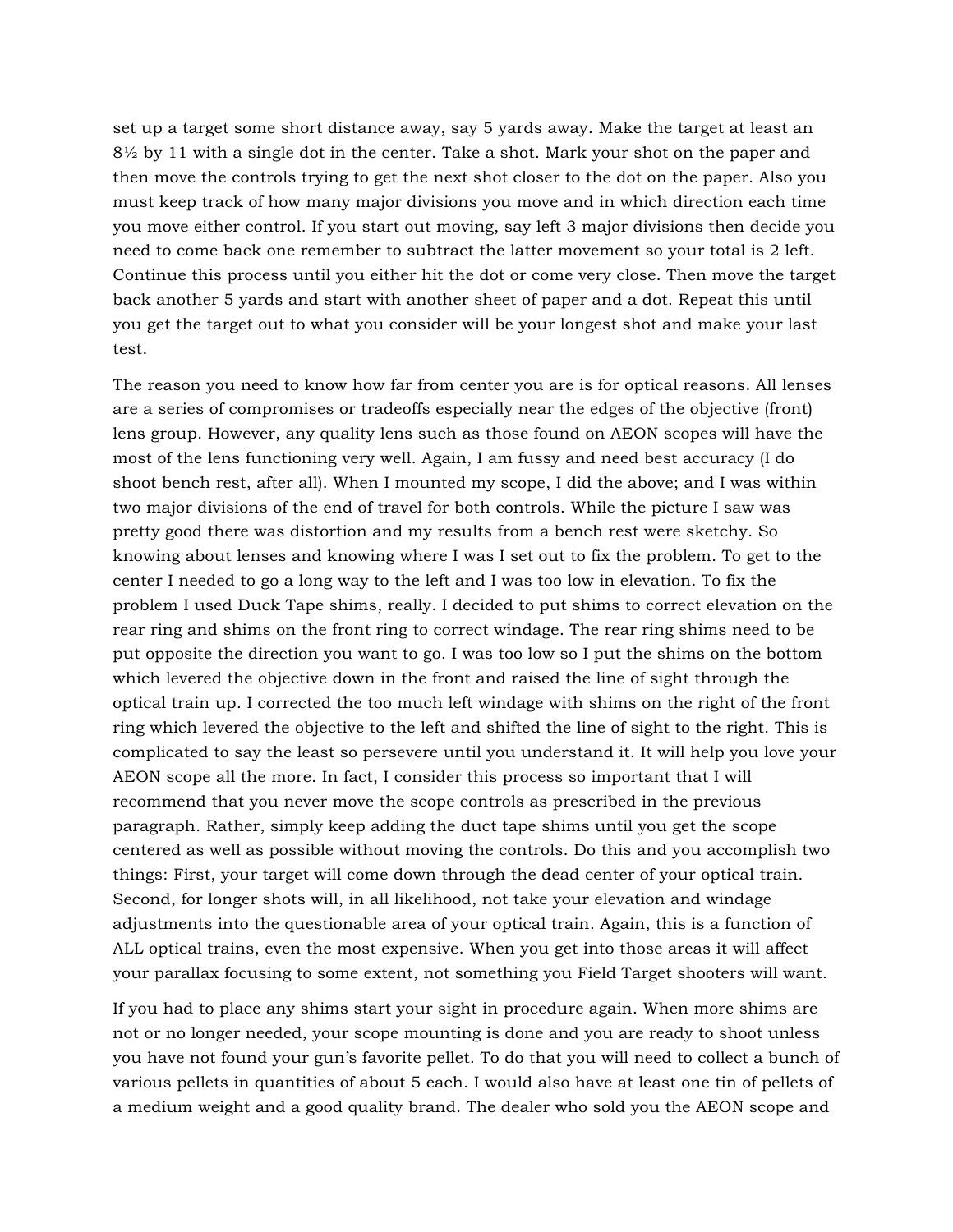set up a target some short distance away, say 5 yards away. Make the target at least an 8½ by 11 with a single dot in the center. Take a shot. Mark your shot on the paper and then move the controls trying to get the next shot closer to the dot on the paper. Also you must keep track of how many major divisions you move and in which direction each time you move either control. If you start out moving, say left 3 major divisions then decide you need to come back one remember to subtract the latter movement so your total is 2 left. Continue this process until you either hit the dot or come very close. Then move the target back another 5 yards and start with another sheet of paper and a dot. Repeat this until you get the target out to what you consider will be your longest shot and make your last test.

The reason you need to know how far from center you are is for optical reasons. All lenses are a series of compromises or tradeoffs especially near the edges of the objective (front) lens group. However, any quality lens such as those found on AEON scopes will have the most of the lens functioning very well. Again, I am fussy and need best accuracy (I do shoot bench rest, after all). When I mounted my scope, I did the above; and I was within two major divisions of the end of travel for both controls. While the picture I saw was pretty good there was distortion and my results from a bench rest were sketchy. So knowing about lenses and knowing where I was I set out to fix the problem. To get to the center I needed to go a long way to the left and I was too low in elevation. To fix the problem I used Duck Tape shims, really. I decided to put shims to correct elevation on the rear ring and shims on the front ring to correct windage. The rear ring shims need to be put opposite the direction you want to go. I was too low so I put the shims on the bottom which levered the objective down in the front and raised the line of sight through the optical train up. I corrected the too much left windage with shims on the right of the front ring which levered the objective to the left and shifted the line of sight to the right. This is complicated to say the least so persevere until you understand it. It will help you love your AEON scope all the more. In fact, I consider this process so important that I will recommend that you never move the scope controls as prescribed in the previous paragraph. Rather, simply keep adding the duct tape shims until you get the scope centered as well as possible without moving the controls. Do this and you accomplish two things: First, your target will come down through the dead center of your optical train. Second, for longer shots will, in all likelihood, not take your elevation and windage adjustments into the questionable area of your optical train. Again, this is a function of ALL optical trains, even the most expensive. When you get into those areas it will affect your parallax focusing to some extent, not something you Field Target shooters will want.

If you had to place any shims start your sight in procedure again. When more shims are not or no longer needed, your scope mounting is done and you are ready to shoot unless you have not found your gun's favorite pellet. To do that you will need to collect a bunch of various pellets in quantities of about 5 each. I would also have at least one tin of pellets of a medium weight and a good quality brand. The dealer who sold you the AEON scope and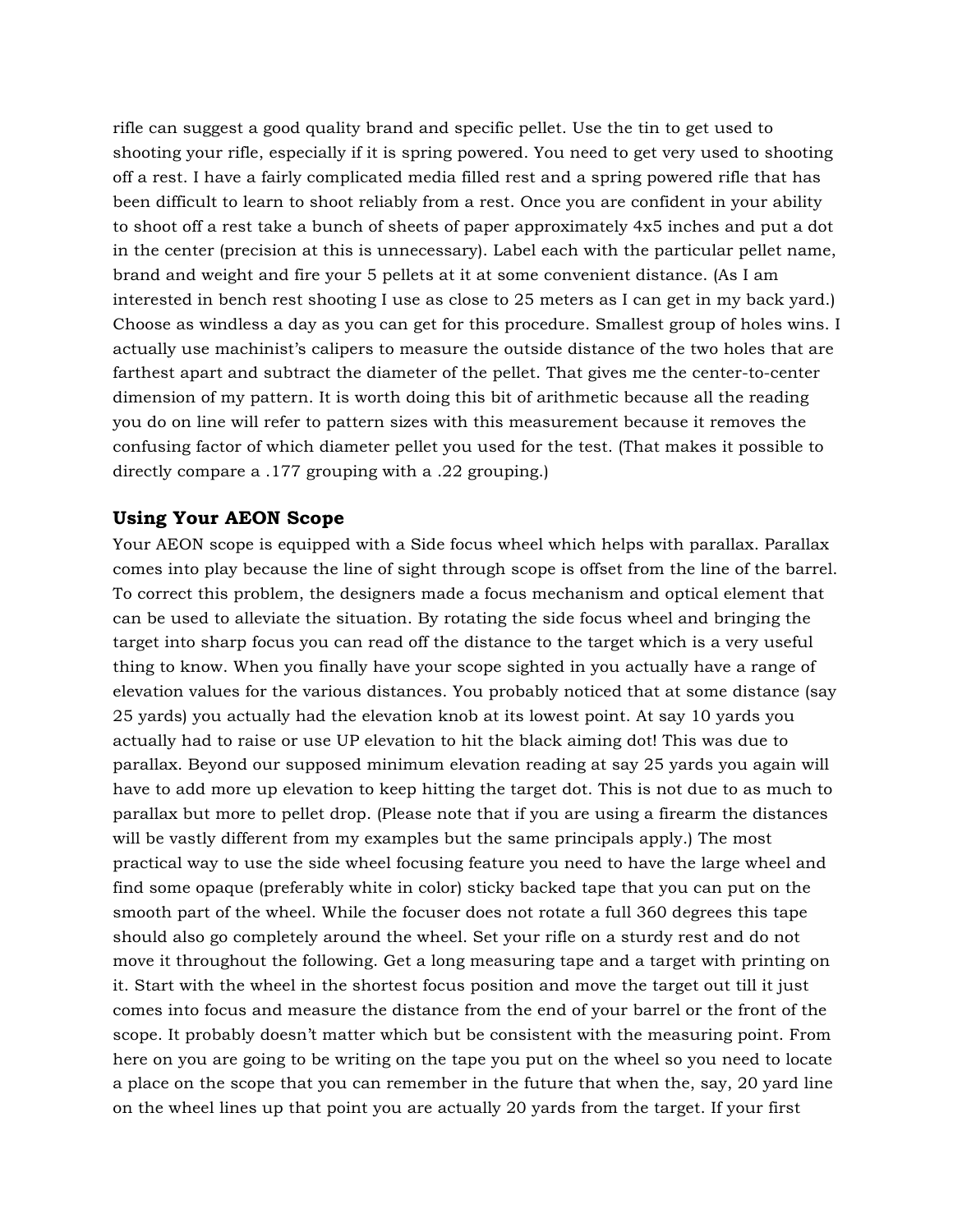rifle can suggest a good quality brand and specific pellet. Use the tin to get used to shooting your rifle, especially if it is spring powered. You need to get very used to shooting off a rest. I have a fairly complicated media filled rest and a spring powered rifle that has been difficult to learn to shoot reliably from a rest. Once you are confident in your ability to shoot off a rest take a bunch of sheets of paper approximately 4x5 inches and put a dot in the center (precision at this is unnecessary). Label each with the particular pellet name, brand and weight and fire your 5 pellets at it at some convenient distance. (As I am interested in bench rest shooting I use as close to 25 meters as I can get in my back yard.) Choose as windless a day as you can get for this procedure. Smallest group of holes wins. I actually use machinist's calipers to measure the outside distance of the two holes that are farthest apart and subtract the diameter of the pellet. That gives me the center-to-center dimension of my pattern. It is worth doing this bit of arithmetic because all the reading you do on line will refer to pattern sizes with this measurement because it removes the confusing factor of which diameter pellet you used for the test. (That makes it possible to directly compare a .177 grouping with a .22 grouping.)

### **Using Your AEON Scope**

Your AEON scope is equipped with a Side focus wheel which helps with parallax. Parallax comes into play because the line of sight through scope is offset from the line of the barrel. To correct this problem, the designers made a focus mechanism and optical element that can be used to alleviate the situation. By rotating the side focus wheel and bringing the target into sharp focus you can read off the distance to the target which is a very useful thing to know. When you finally have your scope sighted in you actually have a range of elevation values for the various distances. You probably noticed that at some distance (say 25 yards) you actually had the elevation knob at its lowest point. At say 10 yards you actually had to raise or use UP elevation to hit the black aiming dot! This was due to parallax. Beyond our supposed minimum elevation reading at say 25 yards you again will have to add more up elevation to keep hitting the target dot. This is not due to as much to parallax but more to pellet drop. (Please note that if you are using a firearm the distances will be vastly different from my examples but the same principals apply.) The most practical way to use the side wheel focusing feature you need to have the large wheel and find some opaque (preferably white in color) sticky backed tape that you can put on the smooth part of the wheel. While the focuser does not rotate a full 360 degrees this tape should also go completely around the wheel. Set your rifle on a sturdy rest and do not move it throughout the following. Get a long measuring tape and a target with printing on it. Start with the wheel in the shortest focus position and move the target out till it just comes into focus and measure the distance from the end of your barrel or the front of the scope. It probably doesn't matter which but be consistent with the measuring point. From here on you are going to be writing on the tape you put on the wheel so you need to locate a place on the scope that you can remember in the future that when the, say, 20 yard line on the wheel lines up that point you are actually 20 yards from the target. If your first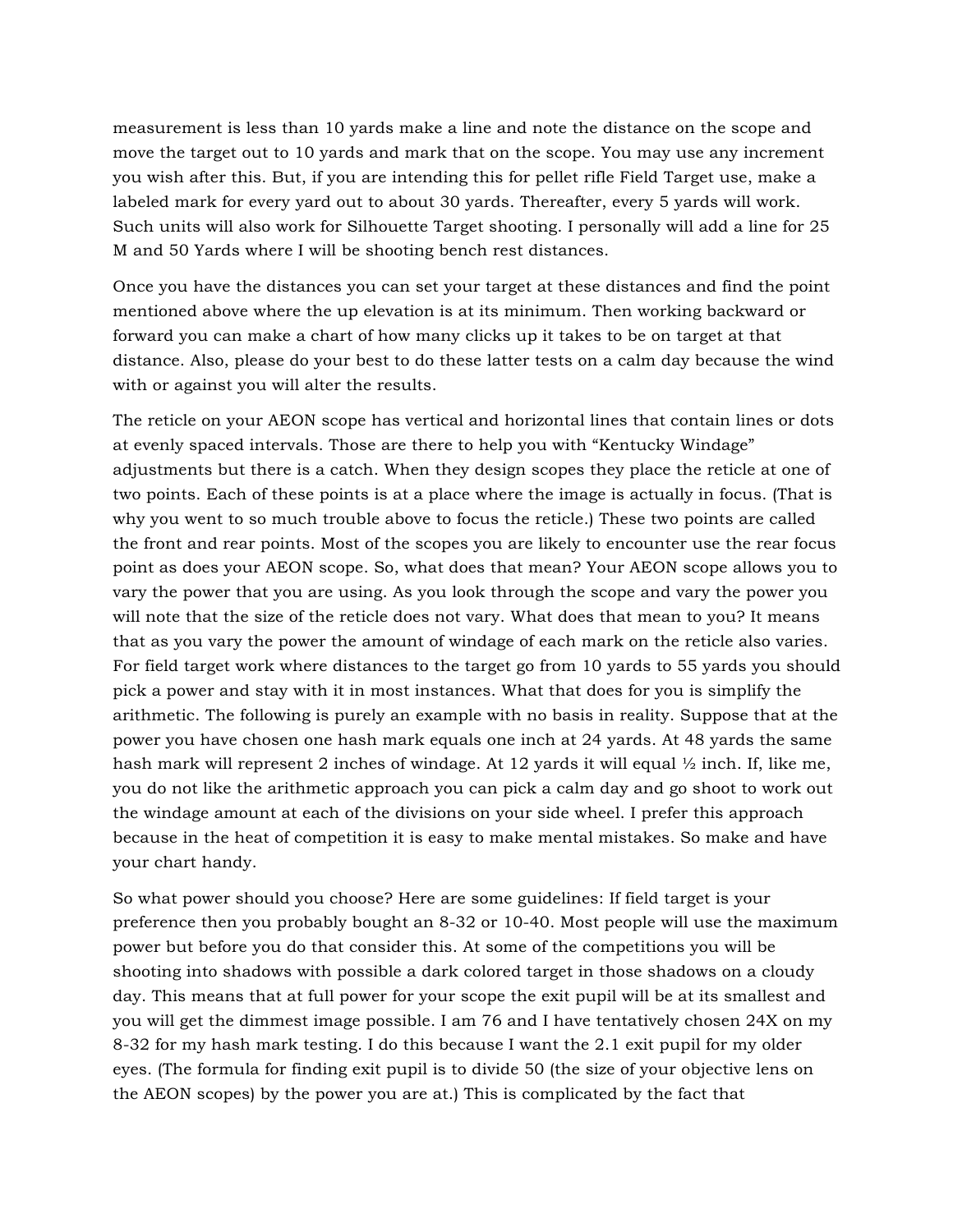measurement is less than 10 yards make a line and note the distance on the scope and move the target out to 10 yards and mark that on the scope. You may use any increment you wish after this. But, if you are intending this for pellet rifle Field Target use, make a labeled mark for every yard out to about 30 yards. Thereafter, every 5 yards will work. Such units will also work for Silhouette Target shooting. I personally will add a line for 25 M and 50 Yards where I will be shooting bench rest distances.

Once you have the distances you can set your target at these distances and find the point mentioned above where the up elevation is at its minimum. Then working backward or forward you can make a chart of how many clicks up it takes to be on target at that distance. Also, please do your best to do these latter tests on a calm day because the wind with or against you will alter the results.

The reticle on your AEON scope has vertical and horizontal lines that contain lines or dots at evenly spaced intervals. Those are there to help you with "Kentucky Windage" adjustments but there is a catch. When they design scopes they place the reticle at one of two points. Each of these points is at a place where the image is actually in focus. (That is why you went to so much trouble above to focus the reticle.) These two points are called the front and rear points. Most of the scopes you are likely to encounter use the rear focus point as does your AEON scope. So, what does that mean? Your AEON scope allows you to vary the power that you are using. As you look through the scope and vary the power you will note that the size of the reticle does not vary. What does that mean to you? It means that as you vary the power the amount of windage of each mark on the reticle also varies. For field target work where distances to the target go from 10 yards to 55 yards you should pick a power and stay with it in most instances. What that does for you is simplify the arithmetic. The following is purely an example with no basis in reality. Suppose that at the power you have chosen one hash mark equals one inch at 24 yards. At 48 yards the same hash mark will represent 2 inches of windage. At 12 yards it will equal  $\frac{1}{2}$  inch. If, like me, you do not like the arithmetic approach you can pick a calm day and go shoot to work out the windage amount at each of the divisions on your side wheel. I prefer this approach because in the heat of competition it is easy to make mental mistakes. So make and have your chart handy.

So what power should you choose? Here are some guidelines: If field target is your preference then you probably bought an 8-32 or 10-40. Most people will use the maximum power but before you do that consider this. At some of the competitions you will be shooting into shadows with possible a dark colored target in those shadows on a cloudy day. This means that at full power for your scope the exit pupil will be at its smallest and you will get the dimmest image possible. I am 76 and I have tentatively chosen 24X on my 8-32 for my hash mark testing. I do this because I want the 2.1 exit pupil for my older eyes. (The formula for finding exit pupil is to divide 50 (the size of your objective lens on the AEON scopes) by the power you are at.) This is complicated by the fact that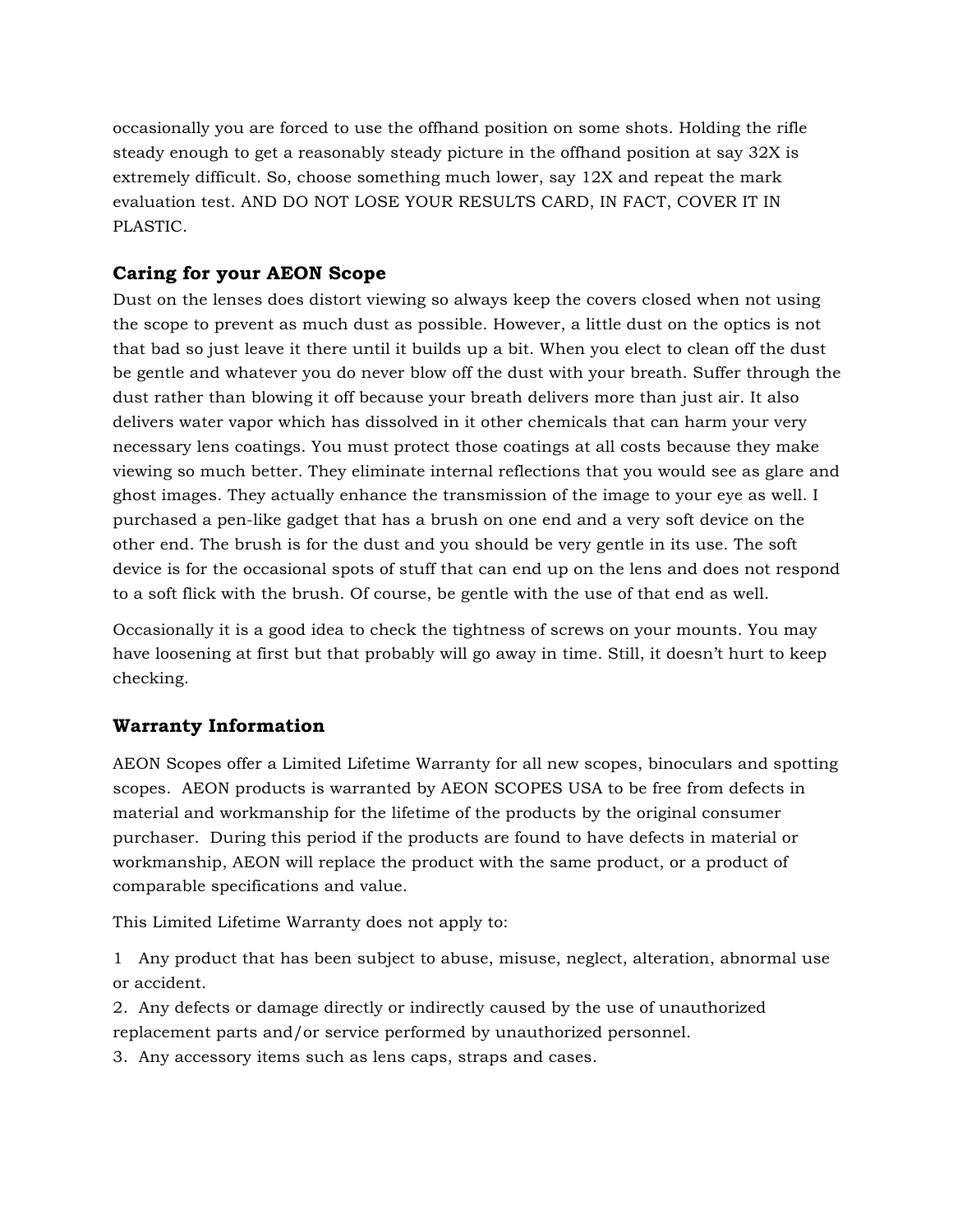occasionally you are forced to use the offhand position on some shots. Holding the rifle steady enough to get a reasonably steady picture in the offhand position at say 32X is extremely difficult. So, choose something much lower, say 12X and repeat the mark evaluation test. AND DO NOT LOSE YOUR RESULTS CARD, IN FACT, COVER IT IN PLASTIC.

## **Caring for your AEON Scope**

Dust on the lenses does distort viewing so always keep the covers closed when not using the scope to prevent as much dust as possible. However, a little dust on the optics is not that bad so just leave it there until it builds up a bit. When you elect to clean off the dust be gentle and whatever you do never blow off the dust with your breath. Suffer through the dust rather than blowing it off because your breath delivers more than just air. It also delivers water vapor which has dissolved in it other chemicals that can harm your very necessary lens coatings. You must protect those coatings at all costs because they make viewing so much better. They eliminate internal reflections that you would see as glare and ghost images. They actually enhance the transmission of the image to your eye as well. I purchased a pen-like gadget that has a brush on one end and a very soft device on the other end. The brush is for the dust and you should be very gentle in its use. The soft device is for the occasional spots of stuff that can end up on the lens and does not respond to a soft flick with the brush. Of course, be gentle with the use of that end as well.

Occasionally it is a good idea to check the tightness of screws on your mounts. You may have loosening at first but that probably will go away in time. Still, it doesn't hurt to keep checking.

## **Warranty Information**

AEON Scopes offer a Limited Lifetime Warranty for all new scopes, binoculars and spotting scopes. AEON products is warranted by AEON SCOPES USA to be free from defects in material and workmanship for the lifetime of the products by the original consumer purchaser. During this period if the products are found to have defects in material or workmanship, AEON will replace the product with the same product, or a product of comparable specifications and value.

This Limited Lifetime Warranty does not apply to:

1 Any product that has been subject to abuse, misuse, neglect, alteration, abnormal use or accident.

2. Any defects or damage directly or indirectly caused by the use of unauthorized replacement parts and/or service performed by unauthorized personnel.

3. Any accessory items such as lens caps, straps and cases.